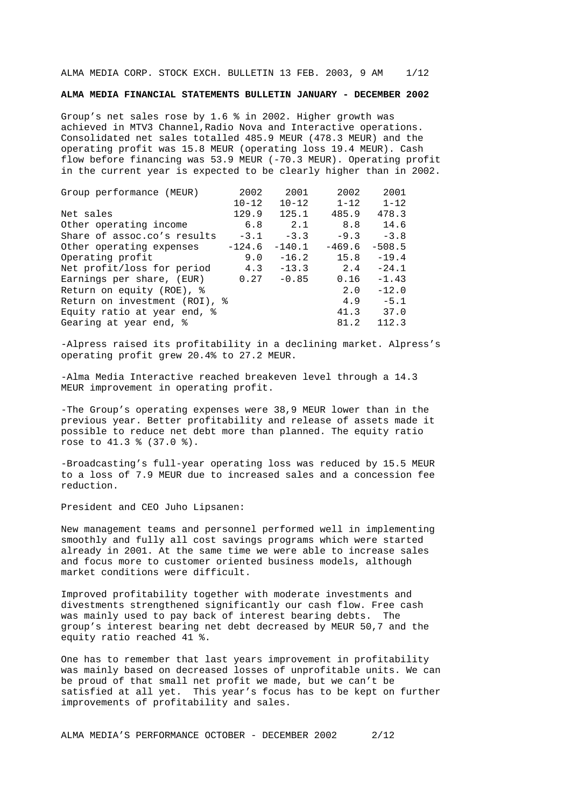ALMA MEDIA CORP. STOCK EXCH. BULLETIN 13 FEB. 2003, 9 AM 1/12

# **ALMA MEDIA FINANCIAL STATEMENTS BULLETIN JANUARY - DECEMBER 2002**

Group's net sales rose by 1.6 % in 2002. Higher growth was achieved in MTV3 Channel,Radio Nova and Interactive operations. Consolidated net sales totalled 485.9 MEUR (478.3 MEUR) and the operating profit was 15.8 MEUR (operating loss 19.4 MEUR). Cash flow before financing was 53.9 MEUR (-70.3 MEUR). Operating profit in the current year is expected to be clearly higher than in 2002.

| Group performance (MEUR)              | 2002      | 2001      | 2002     | 2001     |
|---------------------------------------|-----------|-----------|----------|----------|
|                                       | $10 - 12$ | $10 - 12$ | $1 - 12$ | $1 - 12$ |
| Net sales                             | 129.9     | 125.1     | 485.9    | 478.3    |
| Other operating income                | 6.8       | 2.1       | 8.8      | 14.6     |
| Share of assoc.co's results           | $-3.1$    | $-3.3$    | $-9.3$   | $-3.8$   |
| Other operating expenses              | $-124.6$  | $-140.1$  | $-469.6$ | $-508.5$ |
| Operating profit                      | 9.0       | $-16.2$   | 15.8     | $-19.4$  |
| Net profit/loss for period            | 4.3       | $-13.3$   | 2.4      | $-24.1$  |
| Earnings per share, (EUR)             | 0.27      | $-0.85$   | 0.16     | $-1.43$  |
| Return on equity (ROE), $\frac{1}{6}$ |           |           | 2.0      | $-12.0$  |
| Return on investment (ROI), %         |           |           | 4.9      | $-5.1$   |
| Equity ratio at year end, %           |           |           | 41.3     | 37.0     |
| Gearing at year end, $\frac{1}{6}$    |           |           | 81.2     | 112.3    |

-Alpress raised its profitability in a declining market. Alpress's operating profit grew 20.4% to 27.2 MEUR.

-Alma Media Interactive reached breakeven level through a 14.3 MEUR improvement in operating profit.

-The Group's operating expenses were 38,9 MEUR lower than in the previous year. Better profitability and release of assets made it possible to reduce net debt more than planned. The equity ratio rose to 41.3 % (37.0 %).

-Broadcasting's full-year operating loss was reduced by 15.5 MEUR to a loss of 7.9 MEUR due to increased sales and a concession fee reduction.

President and CEO Juho Lipsanen:

New management teams and personnel performed well in implementing smoothly and fully all cost savings programs which were started already in 2001. At the same time we were able to increase sales and focus more to customer oriented business models, although market conditions were difficult.

Improved profitability together with moderate investments and divestments strengthened significantly our cash flow. Free cash was mainly used to pay back of interest bearing debts. The group's interest bearing net debt decreased by MEUR 50,7 and the equity ratio reached 41 %.

One has to remember that last years improvement in profitability was mainly based on decreased losses of unprofitable units. We can be proud of that small net profit we made, but we can't be satisfied at all yet. This year's focus has to be kept on further improvements of profitability and sales.

ALMA MEDIA'S PERFORMANCE OCTOBER - DECEMBER 2002 2/12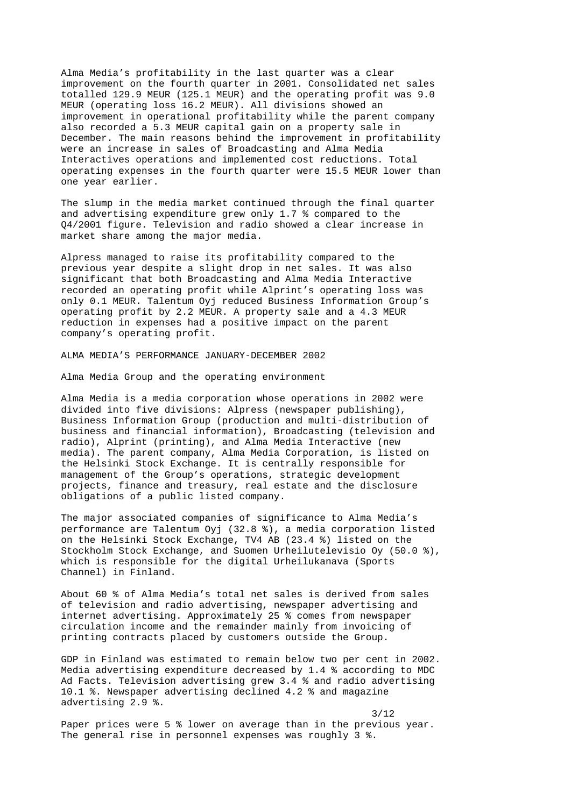Alma Media's profitability in the last quarter was a clear improvement on the fourth quarter in 2001. Consolidated net sales totalled 129.9 MEUR (125.1 MEUR) and the operating profit was 9.0 MEUR (operating loss 16.2 MEUR). All divisions showed an improvement in operational profitability while the parent company also recorded a 5.3 MEUR capital gain on a property sale in December. The main reasons behind the improvement in profitability were an increase in sales of Broadcasting and Alma Media Interactives operations and implemented cost reductions. Total operating expenses in the fourth quarter were 15.5 MEUR lower than one year earlier.

The slump in the media market continued through the final quarter and advertising expenditure grew only 1.7 % compared to the Q4/2001 figure. Television and radio showed a clear increase in market share among the major media.

Alpress managed to raise its profitability compared to the previous year despite a slight drop in net sales. It was also significant that both Broadcasting and Alma Media Interactive recorded an operating profit while Alprint's operating loss was only 0.1 MEUR. Talentum Oyj reduced Business Information Group's operating profit by 2.2 MEUR. A property sale and a 4.3 MEUR reduction in expenses had a positive impact on the parent company's operating profit.

ALMA MEDIA'S PERFORMANCE JANUARY-DECEMBER 2002

Alma Media Group and the operating environment

Alma Media is a media corporation whose operations in 2002 were divided into five divisions: Alpress (newspaper publishing), Business Information Group (production and multi-distribution of business and financial information), Broadcasting (television and radio), Alprint (printing), and Alma Media Interactive (new media). The parent company, Alma Media Corporation, is listed on the Helsinki Stock Exchange. It is centrally responsible for management of the Group's operations, strategic development projects, finance and treasury, real estate and the disclosure obligations of a public listed company.

The major associated companies of significance to Alma Media's performance are Talentum Oyj (32.8 %), a media corporation listed on the Helsinki Stock Exchange, TV4 AB (23.4 %) listed on the Stockholm Stock Exchange, and Suomen Urheilutelevisio Oy (50.0 %), which is responsible for the digital Urheilukanava (Sports Channel) in Finland.

About 60 % of Alma Media's total net sales is derived from sales of television and radio advertising, newspaper advertising and internet advertising. Approximately 25 % comes from newspaper circulation income and the remainder mainly from invoicing of printing contracts placed by customers outside the Group.

GDP in Finland was estimated to remain below two per cent in 2002. Media advertising expenditure decreased by 1.4 % according to MDC Ad Facts. Television advertising grew 3.4 % and radio advertising 10.1 %. Newspaper advertising declined 4.2 % and magazine advertising 2.9 %.

 3/12 Paper prices were 5 % lower on average than in the previous year. The general rise in personnel expenses was roughly 3 %.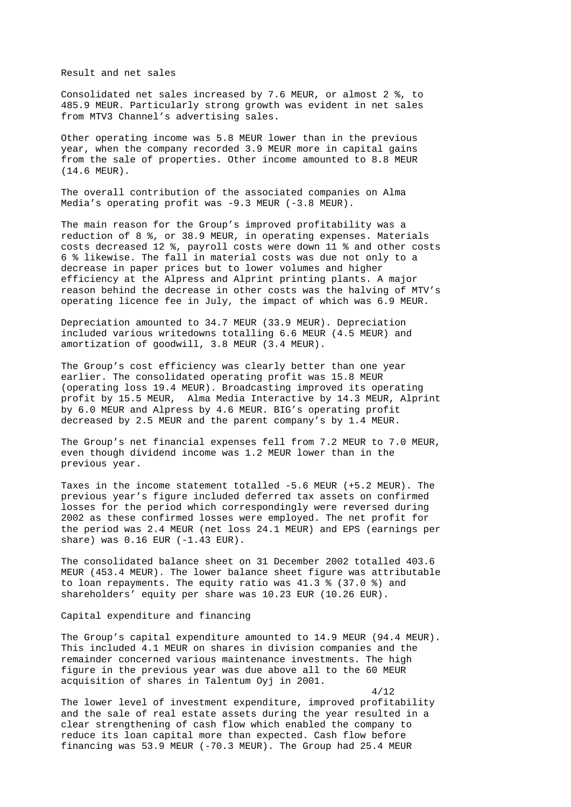Result and net sales

Consolidated net sales increased by 7.6 MEUR, or almost 2 %, to 485.9 MEUR. Particularly strong growth was evident in net sales from MTV3 Channel's advertising sales.

Other operating income was 5.8 MEUR lower than in the previous year, when the company recorded 3.9 MEUR more in capital gains from the sale of properties. Other income amounted to 8.8 MEUR (14.6 MEUR).

The overall contribution of the associated companies on Alma Media's operating profit was -9.3 MEUR (-3.8 MEUR).

The main reason for the Group's improved profitability was a reduction of 8 %, or 38.9 MEUR, in operating expenses. Materials costs decreased 12 %, payroll costs were down 11 % and other costs 6 % likewise. The fall in material costs was due not only to a decrease in paper prices but to lower volumes and higher efficiency at the Alpress and Alprint printing plants. A major reason behind the decrease in other costs was the halving of MTV's operating licence fee in July, the impact of which was 6.9 MEUR.

Depreciation amounted to 34.7 MEUR (33.9 MEUR). Depreciation included various writedowns totalling 6.6 MEUR (4.5 MEUR) and amortization of goodwill, 3.8 MEUR (3.4 MEUR).

The Group's cost efficiency was clearly better than one year earlier. The consolidated operating profit was 15.8 MEUR (operating loss 19.4 MEUR). Broadcasting improved its operating profit by 15.5 MEUR, Alma Media Interactive by 14.3 MEUR, Alprint by 6.0 MEUR and Alpress by 4.6 MEUR. BIG's operating profit decreased by 2.5 MEUR and the parent company's by 1.4 MEUR.

The Group's net financial expenses fell from 7.2 MEUR to 7.0 MEUR, even though dividend income was 1.2 MEUR lower than in the previous year.

Taxes in the income statement totalled -5.6 MEUR (+5.2 MEUR). The previous year's figure included deferred tax assets on confirmed losses for the period which correspondingly were reversed during 2002 as these confirmed losses were employed. The net profit for the period was 2.4 MEUR (net loss 24.1 MEUR) and EPS (earnings per share) was 0.16 EUR (-1.43 EUR).

The consolidated balance sheet on 31 December 2002 totalled 403.6 MEUR (453.4 MEUR). The lower balance sheet figure was attributable to loan repayments. The equity ratio was 41.3 % (37.0 %) and shareholders' equity per share was 10.23 EUR (10.26 EUR).

Capital expenditure and financing

The Group's capital expenditure amounted to 14.9 MEUR (94.4 MEUR). This included 4.1 MEUR on shares in division companies and the remainder concerned various maintenance investments. The high figure in the previous year was due above all to the 60 MEUR acquisition of shares in Talentum Oyj in 2001.

 4/12 The lower level of investment expenditure, improved profitability and the sale of real estate assets during the year resulted in a clear strengthening of cash flow which enabled the company to reduce its loan capital more than expected. Cash flow before financing was 53.9 MEUR (-70.3 MEUR). The Group had 25.4 MEUR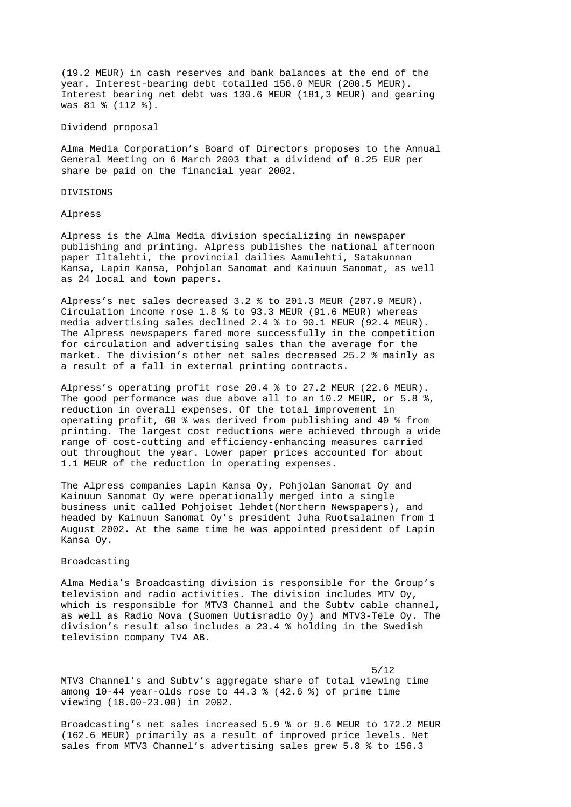(19.2 MEUR) in cash reserves and bank balances at the end of the year. Interest-bearing debt totalled 156.0 MEUR (200.5 MEUR). Interest bearing net debt was 130.6 MEUR (181,3 MEUR) and gearing was 81 % (112 %).

## Dividend proposal

Alma Media Corporation's Board of Directors proposes to the Annual General Meeting on 6 March 2003 that a dividend of 0.25 EUR per share be paid on the financial year 2002.

#### DIVISIONS

#### Alpress

Alpress is the Alma Media division specializing in newspaper publishing and printing. Alpress publishes the national afternoon paper Iltalehti, the provincial dailies Aamulehti, Satakunnan Kansa, Lapin Kansa, Pohjolan Sanomat and Kainuun Sanomat, as well as 24 local and town papers.

Alpress's net sales decreased 3.2 % to 201.3 MEUR (207.9 MEUR). Circulation income rose 1.8 % to 93.3 MEUR (91.6 MEUR) whereas media advertising sales declined 2.4 % to 90.1 MEUR (92.4 MEUR). The Alpress newspapers fared more successfully in the competition for circulation and advertising sales than the average for the market. The division's other net sales decreased 25.2 % mainly as a result of a fall in external printing contracts.

Alpress's operating profit rose 20.4 % to 27.2 MEUR (22.6 MEUR). The good performance was due above all to an 10.2 MEUR, or 5.8 %, reduction in overall expenses. Of the total improvement in operating profit, 60 % was derived from publishing and 40 % from printing. The largest cost reductions were achieved through a wide range of cost-cutting and efficiency-enhancing measures carried out throughout the year. Lower paper prices accounted for about 1.1 MEUR of the reduction in operating expenses.

The Alpress companies Lapin Kansa Oy, Pohjolan Sanomat Oy and Kainuun Sanomat Oy were operationally merged into a single business unit called Pohjoiset lehdet(Northern Newspapers), and headed by Kainuun Sanomat Oy's president Juha Ruotsalainen from 1 August 2002. At the same time he was appointed president of Lapin Kansa Oy.

## Broadcasting

Alma Media's Broadcasting division is responsible for the Group's television and radio activities. The division includes MTV Oy, which is responsible for MTV3 Channel and the Subtv cable channel, as well as Radio Nova (Suomen Uutisradio Oy) and MTV3-Tele Oy. The division's result also includes a 23.4 % holding in the Swedish television company TV4 AB.

 5/12 MTV3 Channel's and Subtv's aggregate share of total viewing time among 10-44 year-olds rose to 44.3 % (42.6 %) of prime time viewing (18.00-23.00) in 2002.

Broadcasting's net sales increased 5.9 % or 9.6 MEUR to 172.2 MEUR (162.6 MEUR) primarily as a result of improved price levels. Net sales from MTV3 Channel's advertising sales grew 5.8 % to 156.3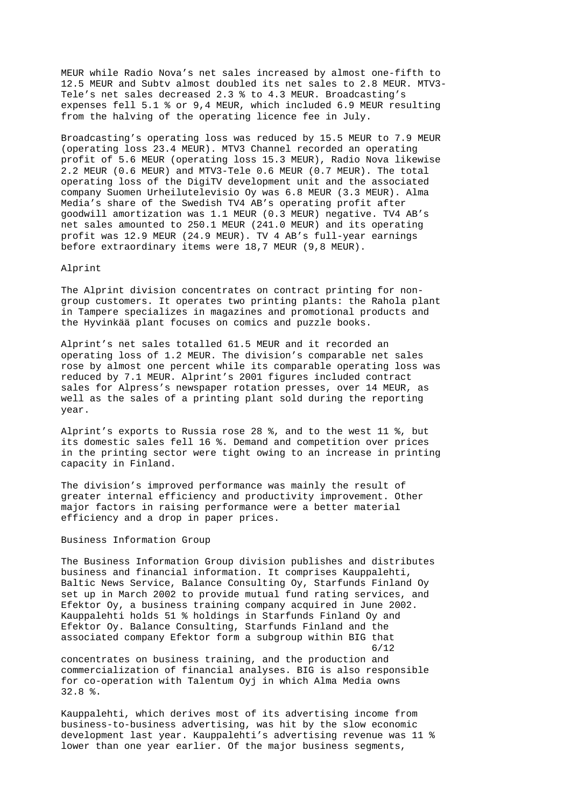MEUR while Radio Nova's net sales increased by almost one-fifth to 12.5 MEUR and Subtv almost doubled its net sales to 2.8 MEUR. MTV3- Tele's net sales decreased 2.3 % to 4.3 MEUR. Broadcasting's expenses fell 5.1 % or 9,4 MEUR, which included 6.9 MEUR resulting from the halving of the operating licence fee in July.

Broadcasting's operating loss was reduced by 15.5 MEUR to 7.9 MEUR (operating loss 23.4 MEUR). MTV3 Channel recorded an operating profit of 5.6 MEUR (operating loss 15.3 MEUR), Radio Nova likewise 2.2 MEUR (0.6 MEUR) and MTV3-Tele 0.6 MEUR (0.7 MEUR). The total operating loss of the DigiTV development unit and the associated company Suomen Urheilutelevisio Oy was 6.8 MEUR (3.3 MEUR). Alma Media's share of the Swedish TV4 AB's operating profit after goodwill amortization was 1.1 MEUR (0.3 MEUR) negative. TV4 AB's net sales amounted to 250.1 MEUR (241.0 MEUR) and its operating profit was 12.9 MEUR (24.9 MEUR). TV 4 AB's full-year earnings before extraordinary items were 18,7 MEUR (9,8 MEUR).

#### Alprint

The Alprint division concentrates on contract printing for nongroup customers. It operates two printing plants: the Rahola plant in Tampere specializes in magazines and promotional products and the Hyvinkää plant focuses on comics and puzzle books.

Alprint's net sales totalled 61.5 MEUR and it recorded an operating loss of 1.2 MEUR. The division's comparable net sales rose by almost one percent while its comparable operating loss was reduced by 7.1 MEUR. Alprint's 2001 figures included contract sales for Alpress's newspaper rotation presses, over 14 MEUR, as well as the sales of a printing plant sold during the reporting year.

Alprint's exports to Russia rose 28 %, and to the west 11 %, but its domestic sales fell 16 %. Demand and competition over prices in the printing sector were tight owing to an increase in printing capacity in Finland.

The division's improved performance was mainly the result of greater internal efficiency and productivity improvement. Other major factors in raising performance were a better material efficiency and a drop in paper prices.

#### Business Information Group

The Business Information Group division publishes and distributes business and financial information. It comprises Kauppalehti, Baltic News Service, Balance Consulting Oy, Starfunds Finland Oy set up in March 2002 to provide mutual fund rating services, and Efektor Oy, a business training company acquired in June 2002. Kauppalehti holds 51 % holdings in Starfunds Finland Oy and Efektor Oy. Balance Consulting, Starfunds Finland and the associated company Efektor form a subgroup within BIG that 6/12

concentrates on business training, and the production and commercialization of financial analyses. BIG is also responsible for co-operation with Talentum Oyj in which Alma Media owns 32.8 %.

Kauppalehti, which derives most of its advertising income from business-to-business advertising, was hit by the slow economic development last year. Kauppalehti's advertising revenue was 11 % lower than one year earlier. Of the major business segments,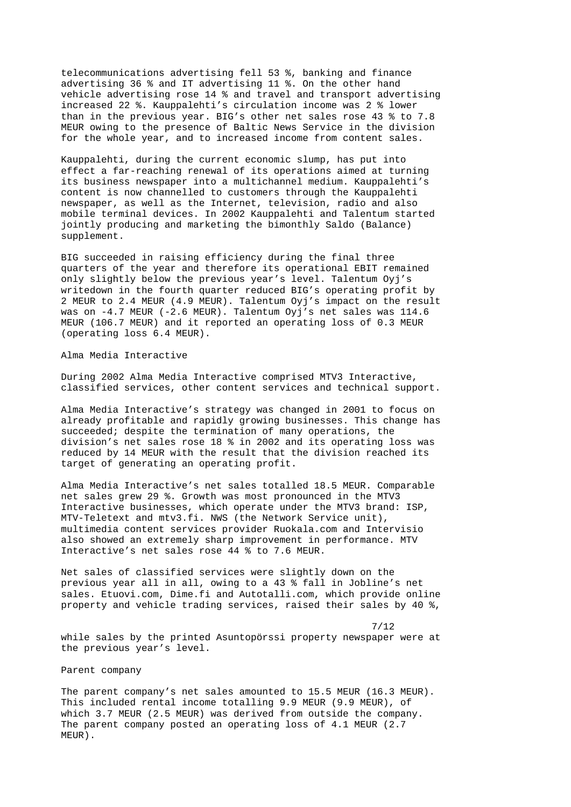telecommunications advertising fell 53 %, banking and finance advertising 36 % and IT advertising 11 %. On the other hand vehicle advertising rose 14 % and travel and transport advertising increased 22 %. Kauppalehti's circulation income was 2 % lower than in the previous year. BIG's other net sales rose 43 % to 7.8 MEUR owing to the presence of Baltic News Service in the division for the whole year, and to increased income from content sales.

Kauppalehti, during the current economic slump, has put into effect a far-reaching renewal of its operations aimed at turning its business newspaper into a multichannel medium. Kauppalehti's content is now channelled to customers through the Kauppalehti newspaper, as well as the Internet, television, radio and also mobile terminal devices. In 2002 Kauppalehti and Talentum started jointly producing and marketing the bimonthly Saldo (Balance) supplement.

BIG succeeded in raising efficiency during the final three quarters of the year and therefore its operational EBIT remained only slightly below the previous year's level. Talentum Oyj's writedown in the fourth quarter reduced BIG's operating profit by 2 MEUR to 2.4 MEUR (4.9 MEUR). Talentum Oyj's impact on the result was on -4.7 MEUR (-2.6 MEUR). Talentum Oyj's net sales was 114.6 MEUR (106.7 MEUR) and it reported an operating loss of 0.3 MEUR (operating loss 6.4 MEUR).

Alma Media Interactive

During 2002 Alma Media Interactive comprised MTV3 Interactive, classified services, other content services and technical support.

Alma Media Interactive's strategy was changed in 2001 to focus on already profitable and rapidly growing businesses. This change has succeeded; despite the termination of many operations, the division's net sales rose 18 % in 2002 and its operating loss was reduced by 14 MEUR with the result that the division reached its target of generating an operating profit.

Alma Media Interactive's net sales totalled 18.5 MEUR. Comparable net sales grew 29 %. Growth was most pronounced in the MTV3 Interactive businesses, which operate under the MTV3 brand: ISP, MTV-Teletext and mtv3.fi. NWS (the Network Service unit), multimedia content services provider Ruokala.com and Intervisio also showed an extremely sharp improvement in performance. MTV Interactive's net sales rose 44 % to 7.6 MEUR.

Net sales of classified services were slightly down on the previous year all in all, owing to a 43 % fall in Jobline's net sales. Etuovi.com, Dime.fi and Autotalli.com, which provide online property and vehicle trading services, raised their sales by 40 %,

7/12

while sales by the printed Asuntopörssi property newspaper were at the previous year's level.

Parent company

The parent company's net sales amounted to 15.5 MEUR (16.3 MEUR). This included rental income totalling 9.9 MEUR (9.9 MEUR), of which 3.7 MEUR (2.5 MEUR) was derived from outside the company. The parent company posted an operating loss of 4.1 MEUR (2.7 MEUR).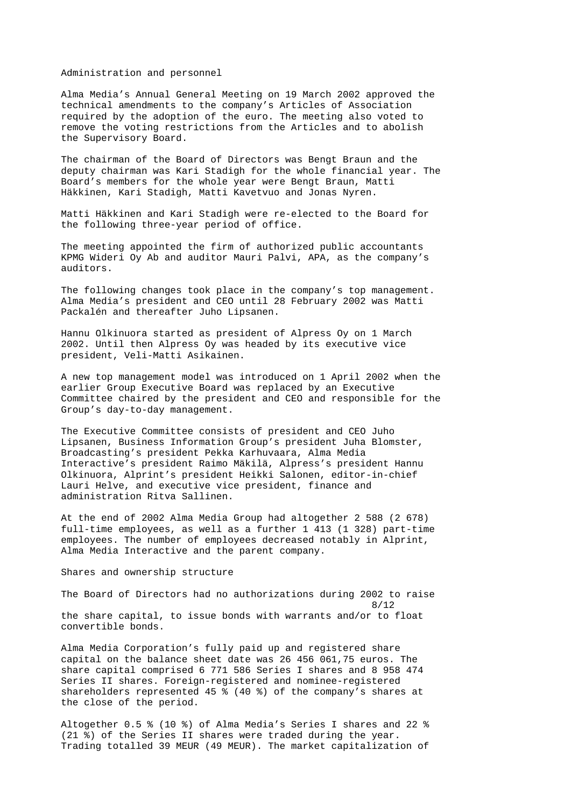Administration and personnel

Alma Media's Annual General Meeting on 19 March 2002 approved the technical amendments to the company's Articles of Association required by the adoption of the euro. The meeting also voted to remove the voting restrictions from the Articles and to abolish the Supervisory Board.

The chairman of the Board of Directors was Bengt Braun and the deputy chairman was Kari Stadigh for the whole financial year. The Board's members for the whole year were Bengt Braun, Matti Häkkinen, Kari Stadigh, Matti Kavetvuo and Jonas Nyren.

Matti Häkkinen and Kari Stadigh were re-elected to the Board for the following three-year period of office.

The meeting appointed the firm of authorized public accountants KPMG Wideri Oy Ab and auditor Mauri Palvi, APA, as the company's auditors.

The following changes took place in the company's top management. Alma Media's president and CEO until 28 February 2002 was Matti Packalén and thereafter Juho Lipsanen.

Hannu Olkinuora started as president of Alpress Oy on 1 March 2002. Until then Alpress Oy was headed by its executive vice president, Veli-Matti Asikainen.

A new top management model was introduced on 1 April 2002 when the earlier Group Executive Board was replaced by an Executive Committee chaired by the president and CEO and responsible for the Group's day-to-day management.

The Executive Committee consists of president and CEO Juho Lipsanen, Business Information Group's president Juha Blomster, Broadcasting's president Pekka Karhuvaara, Alma Media Interactive's president Raimo Mäkilä, Alpress's president Hannu Olkinuora, Alprint's president Heikki Salonen, editor-in-chief Lauri Helve, and executive vice president, finance and administration Ritva Sallinen.

At the end of 2002 Alma Media Group had altogether 2 588 (2 678) full-time employees, as well as a further 1 413 (1 328) part-time employees. The number of employees decreased notably in Alprint, Alma Media Interactive and the parent company.

Shares and ownership structure

The Board of Directors had no authorizations during 2002 to raise 8/12 the share capital, to issue bonds with warrants and/or to float convertible bonds.

Alma Media Corporation's fully paid up and registered share capital on the balance sheet date was 26 456 061,75 euros. The share capital comprised 6 771 586 Series I shares and 8 958 474 Series II shares. Foreign-registered and nominee-registered shareholders represented 45 % (40 %) of the company's shares at the close of the period.

Altogether 0.5 % (10 %) of Alma Media's Series I shares and 22 % (21 %) of the Series II shares were traded during the year. Trading totalled 39 MEUR (49 MEUR). The market capitalization of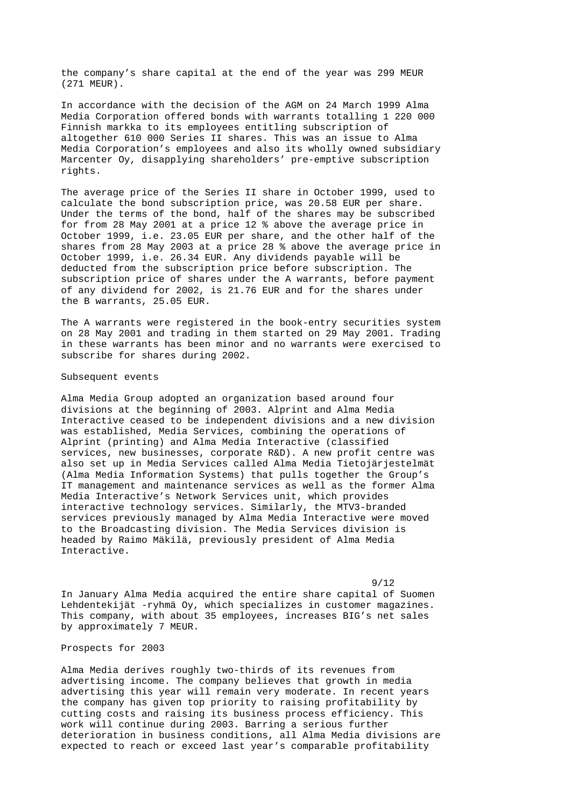the company's share capital at the end of the year was 299 MEUR (271 MEUR).

In accordance with the decision of the AGM on 24 March 1999 Alma Media Corporation offered bonds with warrants totalling 1 220 000 Finnish markka to its employees entitling subscription of altogether 610 000 Series II shares. This was an issue to Alma Media Corporation's employees and also its wholly owned subsidiary Marcenter Oy, disapplying shareholders' pre-emptive subscription rights.

The average price of the Series II share in October 1999, used to calculate the bond subscription price, was 20.58 EUR per share. Under the terms of the bond, half of the shares may be subscribed for from 28 May 2001 at a price 12 % above the average price in October 1999, i.e. 23.05 EUR per share, and the other half of the shares from 28 May 2003 at a price 28 % above the average price in October 1999, i.e. 26.34 EUR. Any dividends payable will be deducted from the subscription price before subscription. The subscription price of shares under the A warrants, before payment of any dividend for 2002, is 21.76 EUR and for the shares under the B warrants, 25.05 EUR.

The A warrants were registered in the book-entry securities system on 28 May 2001 and trading in them started on 29 May 2001. Trading in these warrants has been minor and no warrants were exercised to subscribe for shares during 2002.

## Subsequent events

Alma Media Group adopted an organization based around four divisions at the beginning of 2003. Alprint and Alma Media Interactive ceased to be independent divisions and a new division was established, Media Services, combining the operations of Alprint (printing) and Alma Media Interactive (classified services, new businesses, corporate R&D). A new profit centre was also set up in Media Services called Alma Media Tietojärjestelmät (Alma Media Information Systems) that pulls together the Group's IT management and maintenance services as well as the former Alma Media Interactive's Network Services unit, which provides interactive technology services. Similarly, the MTV3-branded services previously managed by Alma Media Interactive were moved to the Broadcasting division. The Media Services division is headed by Raimo Mäkilä, previously president of Alma Media Interactive.

 9/12 In January Alma Media acquired the entire share capital of Suomen Lehdentekijät -ryhmä Oy, which specializes in customer magazines. This company, with about 35 employees, increases BIG's net sales by approximately 7 MEUR.

## Prospects for 2003

Alma Media derives roughly two-thirds of its revenues from advertising income. The company believes that growth in media advertising this year will remain very moderate. In recent years the company has given top priority to raising profitability by cutting costs and raising its business process efficiency. This work will continue during 2003. Barring a serious further deterioration in business conditions, all Alma Media divisions are expected to reach or exceed last year's comparable profitability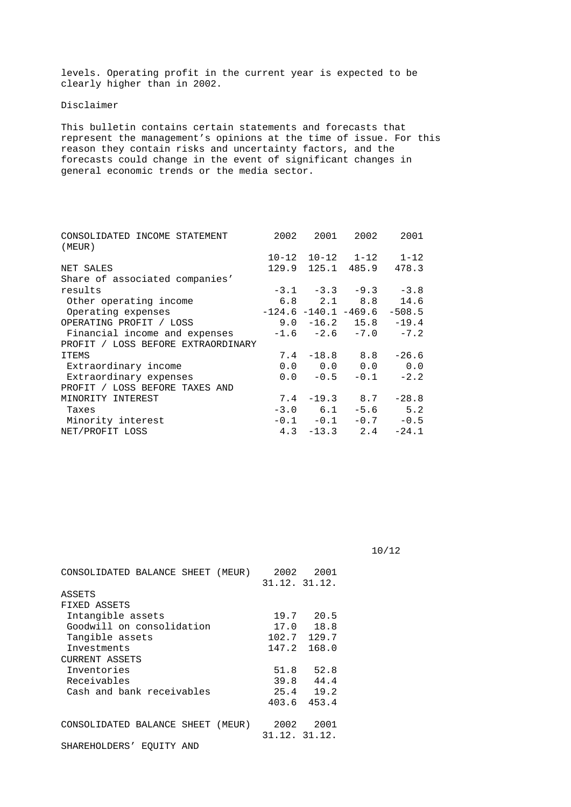levels. Operating profit in the current year is expected to be clearly higher than in 2002.

Disclaimer

This bulletin contains certain statements and forecasts that represent the management's opinions at the time of issue. For this reason they contain risks and uncertainty factors, and the forecasts could change in the event of significant changes in general economic trends or the media sector.

| CONSOLIDATED INCOME STATEMENT      | 2002 | 2001        | 2002                          | 2001                  |
|------------------------------------|------|-------------|-------------------------------|-----------------------|
| (MEUR)                             |      |             |                               |                       |
|                                    |      |             | $10-12$ $10-12$ $1-12$ $1-12$ |                       |
| NET SALES                          |      |             | 129.9 125.1 485.9             | 478.3                 |
| Share of associated companies'     |      |             |                               |                       |
| results                            |      |             | $-3.1 -3.3 -9.3 -3.8$         |                       |
| Other operating income             |      |             | 6.8 2.1 8.8 14.6              |                       |
| Operating expenses                 |      |             | $-124.6 -140.1 -469.6 -508.5$ |                       |
| OPERATING PROFIT / LOSS            |      |             | $9.0 - 16.2$ 15.8 $-19.4$     |                       |
| Financial income and expenses      |      |             |                               | $-1.6 -2.6 -7.0 -7.2$ |
| PROFIT / LOSS BEFORE EXTRAORDINARY |      |             |                               |                       |
| <b>ITEMS</b>                       |      |             | $7.4$ $-18.8$ $8.8$           | $-26.6$               |
| Extraordinary income               |      |             | $0.0 \t 0.0 \t 0.0 \t 0.0$    |                       |
| Extraordinary expenses             |      | $0.0 - 0.5$ |                               | $-0.1 -2.2$           |
| PROFIT / LOSS BEFORE TAXES AND     |      |             |                               |                       |
| MINORITY INTEREST                  |      |             | $7.4$ $-19.3$ 8.7             | $-28.8$               |
| Taxes                              |      | $-3.0$ 6.1  |                               | $-5.6$ $5.2$          |
| Minority interest                  |      | $-0.1 -0.1$ |                               | $-0.7 - 0.5$          |
| NET/PROFIT LOSS                    |      |             | $4.3 - 13.3$ $2.4$            | $-24.1$               |

| CONSOLIDATED BALANCE SHEET (MEUR) | 31.12.31.12.  | 2002 2001   |
|-----------------------------------|---------------|-------------|
| ASSETS                            |               |             |
| FIXED ASSETS                      |               |             |
| Intangible assets                 |               | 19.7 20.5   |
| Goodwill on consolidation         | 17.0          | 18.8        |
| Tangible assets                   | 102.7         | 129.7       |
| <i>Investments</i>                | 147.2         | 168.0       |
| CURRENT ASSETS                    |               |             |
| Inventories                       | 51.8          | 52.8        |
| Receivables                       |               | 39.8 44.4   |
| Cash and bank receivables         |               | $25.4$ 19.2 |
|                                   | 403.6         | 453.4       |
|                                   |               |             |
| CONSOLIDATED BALANCE SHEET (MEUR) | 2002          | 2001        |
|                                   | 31.12. 31.12. |             |
| EOUITY AND<br>SHAREHOLDERS '      |               |             |

10/12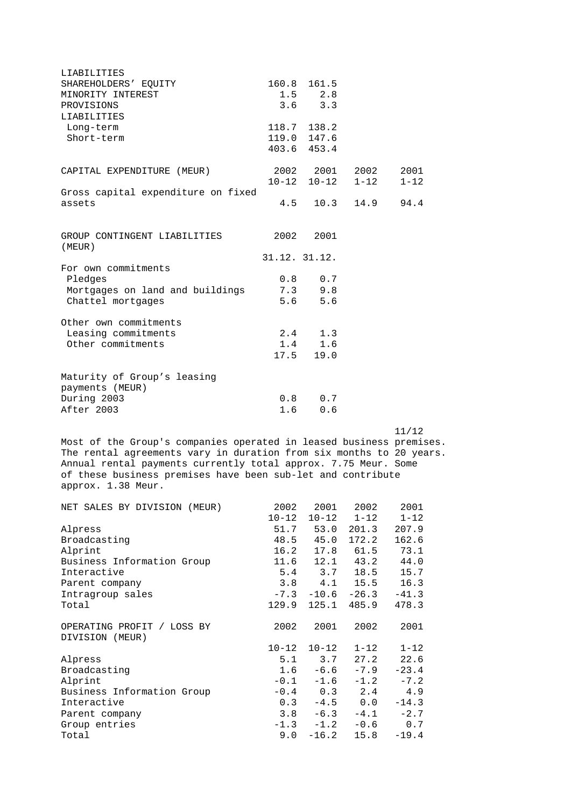| LIABILITIES                        |              |                     |               |          |
|------------------------------------|--------------|---------------------|---------------|----------|
| SHAREHOLDERS' EQUITY               |              | 160.8 161.5         |               |          |
| MINORITY INTEREST                  |              | $1.5$ 2.8           |               |          |
| PROVISIONS                         |              | $3.6$ $3.3$         |               |          |
| LIABILITIES                        |              |                     |               |          |
| Long-term                          |              | 118.7 138.2         |               |          |
| Short-term                         |              | 119.0 147.6         |               |          |
|                                    |              | 403.6 453.4         |               |          |
|                                    |              |                     |               |          |
| CAPITAL EXPENDITURE (MEUR)         |              | 2002 2001           | 2002          | 2001     |
|                                    |              | $10 - 12$ $10 - 12$ | $1 - 12$      | $1 - 12$ |
| Gross capital expenditure on fixed |              |                     |               |          |
| assets                             |              |                     | 4.5 10.3 14.9 | 94.4     |
|                                    |              |                     |               |          |
|                                    |              |                     |               |          |
| GROUP CONTINGENT LIABILITIES       | 2002         | 2001                |               |          |
| (MEUR)                             |              |                     |               |          |
|                                    | 31.12.31.12. |                     |               |          |
| For own commitments                |              |                     |               |          |
| Pledges                            |              | $0.8$ 0.7           |               |          |
| Mortgages on land and buildings    |              | $7.3$ 9.8           |               |          |
| Chattel mortgages                  |              | $5.6$ $5.6$         |               |          |
|                                    |              |                     |               |          |
| Other own commitments              |              |                     |               |          |
| Leasing commitments                |              | $2.4$ 1.3           |               |          |
| Other commitments                  |              | $1.4$ 1.6           |               |          |
|                                    |              | $17.5$ 19.0         |               |          |
|                                    |              |                     |               |          |
| Maturity of Group's leasing        |              |                     |               |          |
| payments (MEUR)                    |              |                     |               |          |
| During 2003                        |              | $0.8$ 0.7           |               |          |
| After 2003                         |              | 1.6 0.6             |               |          |
|                                    |              |                     |               |          |

11/12

Most of the Group's companies operated in leased business premises. The rental agreements vary in duration from six months to 20 years. Annual rental payments currently total approx. 7.75 Meur. Some of these business premises have been sub-let and contribute approx. 1.38 Meur.

| NET SALES BY DIVISION (MEUR) | 2002      | 2001        | 2002      | 2001     |
|------------------------------|-----------|-------------|-----------|----------|
|                              | $10 - 12$ | $10 - 12$   | $1 - 12$  | $1 - 12$ |
| Alpress                      | 51.7      | 53.0        | 201.3     | 207.9    |
| Broadcasting                 | 48.5      | 45.0        | 172.2     | 162.6    |
| Alprint                      | 16.2      |             | 17.8 61.5 | 73.1     |
| Business Information Group   | 11.6      | 12.1        | 43.2      | 44.0     |
| Interactive                  | 5.4       | 3.7         | 18.5      | 15.7     |
| Parent company               | 3.8       | 4.1         | 15.5      | 16.3     |
| Intragroup sales             | $-7.3$    | $-10.6$     | $-26.3$   | $-41.3$  |
| Total                        | 129.9     | 125.1       | 485.9     | 478.3    |
|                              |           |             |           |          |
| OPERATING PROFIT / LOSS BY   | 2002      | 2001        | 2002      | 2001     |
| DIVISION (MEUR)              |           |             |           |          |
|                              | $10 - 12$ | $10 - 12$   | $1 - 12$  | $1 - 12$ |
| Alpress                      | 5.1       | 3.7         | 27.2      | 22.6     |
| Broadcasting                 | 1.6       | $-6.6$      | $-7.9$    | $-23.4$  |
| Alprint                      | $-0.1$    | $-1.6$      | $-1.2$    | $-7.2$   |
| Business Information Group   |           | $-0.4$ 0.3  | 2.4       | 4.9      |
| Interactive                  | 0.3       | $-4.5$      | 0.0       | $-14.3$  |
| Parent company               | 3.8       | $-6.3$      | $-4.1$    | $-2.7$   |
| Group entries                |           | $-1.3 -1.2$ | $-0.6$    | 0.7      |
| Total                        | 9.0       | $-16.2$     | 15.8      | $-19.4$  |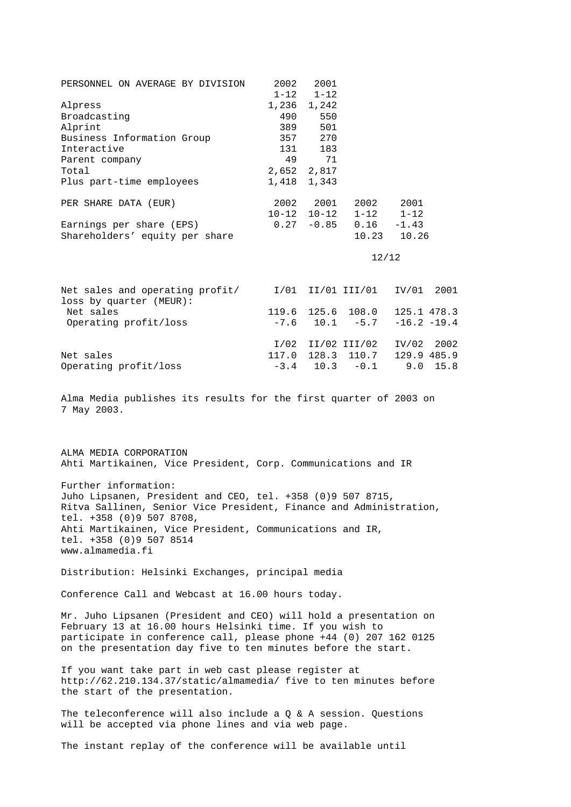| PERSONNEL ON AVERAGE BY DIVISION | 2002        | 2001      |          |          |
|----------------------------------|-------------|-----------|----------|----------|
|                                  | $1 - 12$    | $1 - 12$  |          |          |
| Alpress                          | 1,236       | 1,242     |          |          |
| Broadcasting                     | 490         | 550       |          |          |
| Alprint                          | 389         | 501       |          |          |
| Business Information Group       | 357         | 270       |          |          |
| Interactive                      | 131         | 183       |          |          |
| Parent company                   | 49          | 71        |          |          |
| Total                            | 2,652 2,817 |           |          |          |
| Plus part-time employees         | 1,418       | 1,343     |          |          |
| PER SHARE DATA (EUR)             | 2002        | 2001      | 2002     | 2001     |
|                                  | $10 - 12$   | $10 - 12$ | $1 - 12$ | $1 - 12$ |
| Earnings per share (EPS)         | 0.27        | $-0.85$   | 0.16     | $-1.43$  |
| Shareholders' equity per share   |             |           | 10.23    | 10.26    |
|                                  |             |           |          |          |

12/12

| Net sales and operating profit/<br>loss by quarter (MEUR): |                    | $I/01$ II/01 III/01 IV/01 2001     |
|------------------------------------------------------------|--------------------|------------------------------------|
| Net sales                                                  |                    | 119.6 125.6 108.0 125.1 478.3      |
| Operating profit/loss                                      |                    | $-7.6$ 10.1 $-5.7$ $-16.2$ $-19.4$ |
|                                                            | I/02 II/02 III/02  | IV/02 2002                         |
| Net sales                                                  | 117.0 128.3 110.7  | 129.9 485.9                        |
| Operating profit/loss                                      | $-3.4$ 10.3 $-0.1$ | 9.0 15.8                           |

Alma Media publishes its results for the first quarter of 2003 on 7 May 2003.

ALMA MEDIA CORPORATION Ahti Martikainen, Vice President, Corp. Communications and IR

Further information: Juho Lipsanen, President and CEO, tel. +358 (0)9 507 8715, Ritva Sallinen, Senior Vice President, Finance and Administration, tel. +358 (0)9 507 8708, Ahti Martikainen, Vice President, Communications and IR, tel. +358 (0)9 507 8514 www.almamedia.fi

Distribution: Helsinki Exchanges, principal media

Conference Call and Webcast at 16.00 hours today.

Mr. Juho Lipsanen (President and CEO) will hold a presentation on February 13 at 16.00 hours Helsinki time. If you wish to participate in conference call, please phone +44 (0) 207 162 0125 on the presentation day five to ten minutes before the start.

If you want take part in web cast please register at http://62.210.134.37/static/almamedia/ five to ten minutes before the start of the presentation.

The teleconference will also include a  $Q & A$  session. Questions will be accepted via phone lines and via web page.

The instant replay of the conference will be available until